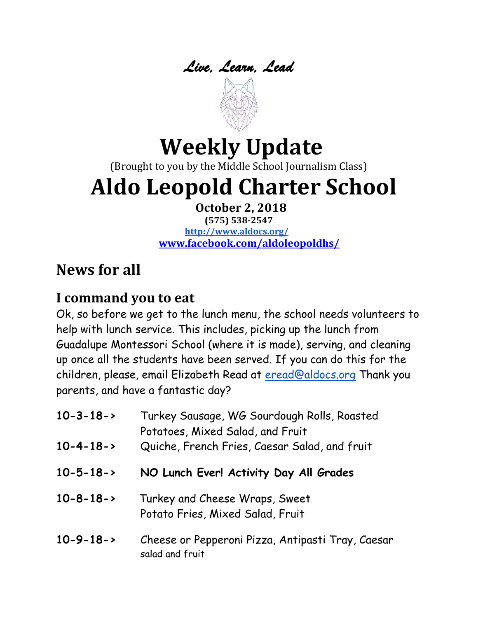



# **Weekly Update**

(Brought to you by the Middle School Journalism Class)

# **Aldo Leopold Charter School**

**October 2, 2018**

**(575) 538-2547 <http://www.aldocs.org/> [www.facebook.com/aldoleopoldhs/](http://www.facebook.com/aldoleopoldhs/)**

# **News for all**

#### **I command you to eat**

Ok, so before we get to the lunch menu, the school needs volunteers to help with lunch service. This includes, picking up the lunch from Guadalupe Montessori School (where it is made), serving, and cleaning up once all the students have been served. If you can do this for the children, please, email Elizabeth Read at [eread@aldocs.org](mailto:eread@aldocs.org) Thank you parents, and have a fantastic day?

| $10 - 3 - 18 - 5$ | Turkey Sausage, WG Sourdough Rolls, Roasted<br>Potatoes, Mixed Salad, and Fruit |
|-------------------|---------------------------------------------------------------------------------|
| $10 - 4 - 18 - 5$ | Quiche, French Fries, Caesar Salad, and fruit                                   |
| $10 - 5 - 18 - >$ | NO Lunch Ever! Activity Day All Grades                                          |
| $10 - 8 - 18 - 5$ | Turkey and Cheese Wraps, Sweet<br>Potato Fries, Mixed Salad, Fruit              |
| $10 - 9 - 18 - 5$ | Cheese or Pepperoni Pizza, Antipasti Tray, Caesar<br>salad and fruit            |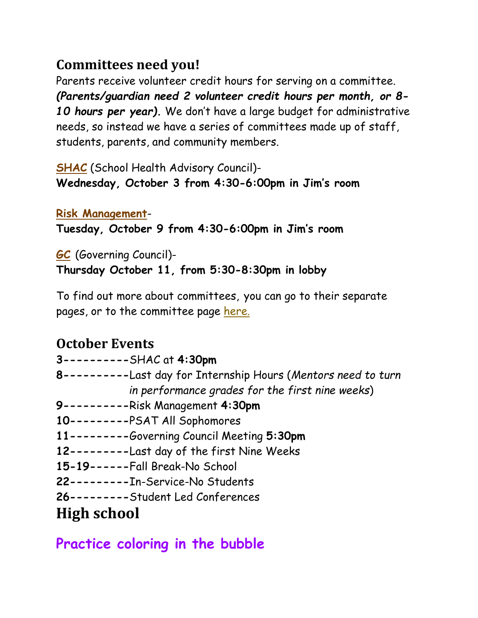#### **Committees need you!**

Parents receive volunteer credit hours for serving on a committee. *(Parents/guardian need 2 volunteer credit hours per month, or 8- 10 hours per year).* We don't have a large budget for administrative needs, so instead we have a series of committees made up of staff, students, parents, and community members.

**[SHAC](https://www.aldocs.org/school-health-advisory-council.html)** (School Health Advisory Council)- **Wednesday, October 3 from 4:30-6:00pm in Jim's room**

**[Risk Management](https://www.aldocs.org/risk-management.html)**-

**Tuesday, October 9 from 4:30-6:00pm in Jim's room**

**[GC](https://www.aldocs.org/about-the-alcs-governing-council.html)** (Governing Council)- **Thursday October 11, from 5:30-8:30pm in lobby**

To find out more about committees, you can go to their separate pages, or to the committee page [here.](https://www.aldocs.org/committee-overview.html)

#### **October Events**

|             | 3----------SHAC at 4:30pm                                      |
|-------------|----------------------------------------------------------------|
|             | 8----------Last day for Internship Hours (Mentors need to turn |
|             | in performance grades for the first nine weeks)                |
|             | 9----------Risk Management 4:30pm                              |
|             | 10---------PSAT All Sophomores                                 |
|             | 11---------Governing Council Meeting 5:30pm                    |
|             | 12--------- Last day of the first Nine Weeks                   |
|             | 15-19------Fall Break-No School                                |
|             | 22---------In-Service-No Students                              |
|             | 26---------Student Led Conferences                             |
| High school |                                                                |

#### **Practice coloring in the bubble**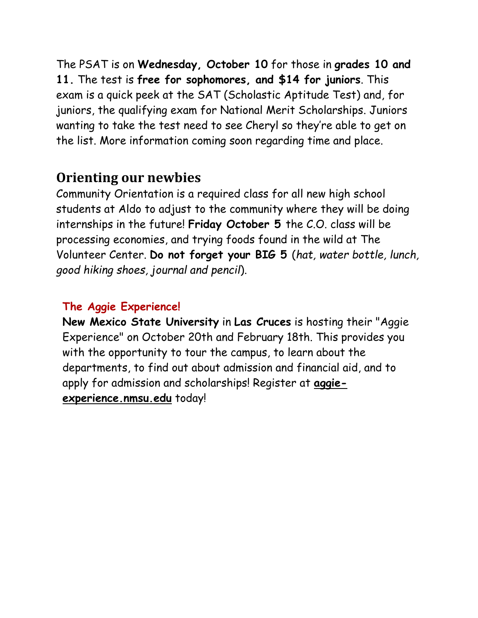The PSAT is on **Wednesday, October 10** for those in **grades 10 and 11.** The test is **free for sophomores, and \$14 for juniors**. This exam is a quick peek at the SAT (Scholastic Aptitude Test) and, for juniors, the qualifying exam for National Merit Scholarships. Juniors wanting to take the test need to see Cheryl so they're able to get on the list. More information coming soon regarding time and place.

#### **Orienting our newbies**

Community Orientation is a required class for all new high school students at Aldo to adjust to the community where they will be doing internships in the future! **Friday October 5** the C.O. class will be processing economies, and trying foods found in the wild at The Volunteer Center. **Do not forget your BIG 5** (*hat, water bottle, lunch, good hiking shoes, journal and pencil*).

#### **The Aggie Experience!**

**New Mexico State University** in **Las Cruces** is hosting their "Aggie Experience" on October 20th and February 18th. This provides you with the opportunity to tour the campus, to learn about the departments, to find out about admission and financial aid, and to apply for admission and scholarships! Register at **[aggie](https://aggie-experience.nmsu.edu/)[experience.nmsu.edu](https://aggie-experience.nmsu.edu/)** today!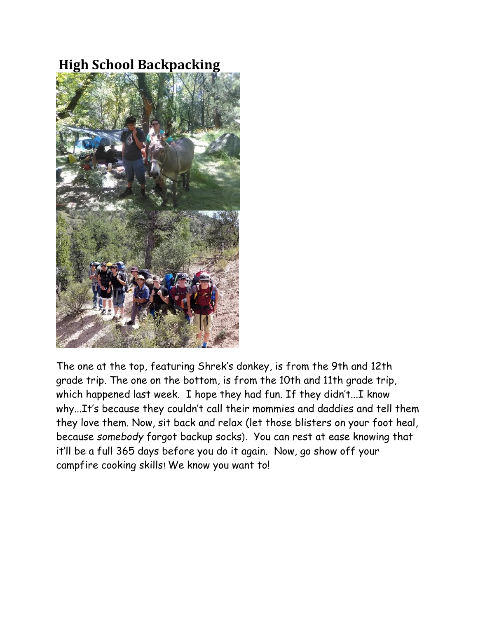# **High School Backpacking**



The one at the top, featuring Shrek's donkey, is from the 9th and 12th grade trip. The one on the bottom, is from the 10th and 11th grade trip, which happened last week. I hope they had fun. If they didn't...I know why...It's because they couldn't call their mommies and daddies and tell them they love them. Now, sit back and relax (let those blisters on your foot heal, because *somebody* forgot backup socks). You can rest at ease knowing that it'll be a full 365 days before you do it again. Now, go show off your campfire cooking skills! We know you want to!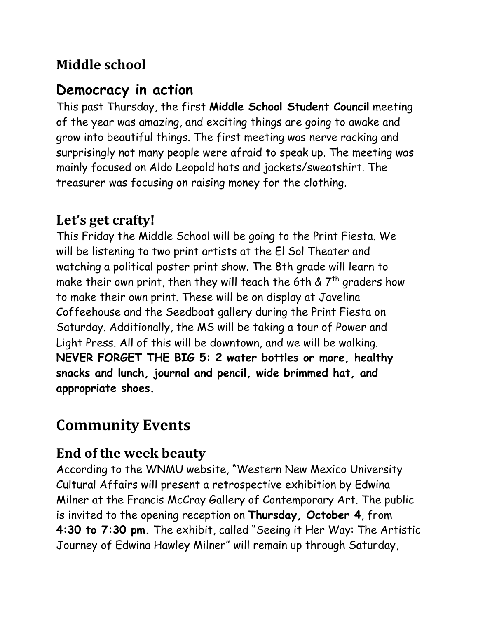# **Middle school**

# **Democracy in action**

This past Thursday, the first **Middle School Student Council** meeting of the year was amazing, and exciting things are going to awake and grow into beautiful things. The first meeting was nerve racking and surprisingly not many people were afraid to speak up. The meeting was mainly focused on Aldo Leopold hats and jackets/sweatshirt. The treasurer was focusing on raising money for the clothing.

## **Let's get crafty!**

This Friday the Middle School will be going to the Print Fiesta. We will be listening to two print artists at the El Sol Theater and watching a political poster print show. The 8th grade will learn to make their own print, then they will teach the 6th &  $7<sup>th</sup>$  graders how to make their own print. These will be on display at Javelina Coffeehouse and the Seedboat gallery during the Print Fiesta on Saturday. Additionally, the MS will be taking a tour of Power and Light Press. All of this will be downtown, and we will be walking. **NEVER FORGET THE BIG 5: 2 water bottles or more, healthy snacks and lunch, journal and pencil, wide brimmed hat, and appropriate shoes.**

# **Community Events**

# **End of the week beauty**

According to the WNMU website, "Western New Mexico University Cultural Affairs will present a retrospective exhibition by Edwina Milner at the Francis McCray Gallery of Contemporary Art. The public is invited to the opening reception on **Thursday, October 4**, from **4:30 to 7:30 pm.** The exhibit, called "Seeing it Her Way: The Artistic Journey of Edwina Hawley Milner" will remain up through Saturday,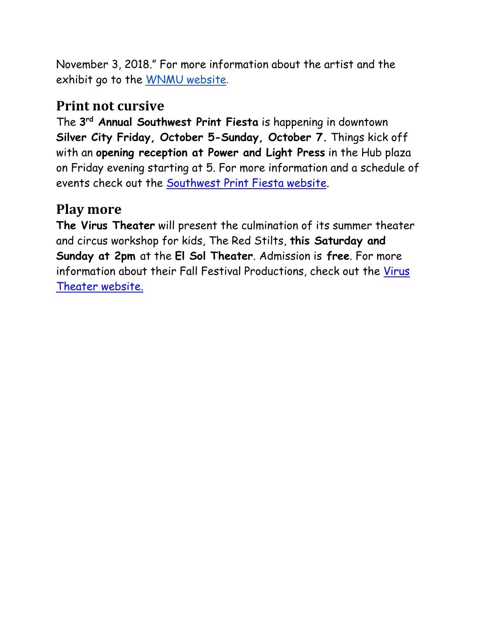November 3, 2018." For more information about the artist and the exhibit go to the [WNMU website](https://wnmu.edu/cultural-affairs-presents-seeing-it-her-way-the-artistic-journey-of-edwina-hawley-milner/).

#### **Print not cursive**

The **3 rd Annual Southwest Print Fiesta** is happening in downtown **Silver City Friday, October 5-Sunday, October 7.** Things kick off with an **opening reception at Power and Light Press** in the Hub plaza on Friday evening starting at 5. For more information and a schedule of events check out the [Southwest Print Fiesta website.](https://www.southwestprintfiesta.org/)

## **Play more**

**The Virus Theater** will present the culmination of its summer theater and circus workshop for kids, The Red Stilts, **this Saturday and Sunday at 2pm** at the **El Sol Theater**. Admission is **free**. For more information about their Fall Festival Productions, check out the [Virus](https://virustheater.com/coming-soon/)  [Theater website.](https://virustheater.com/coming-soon/)